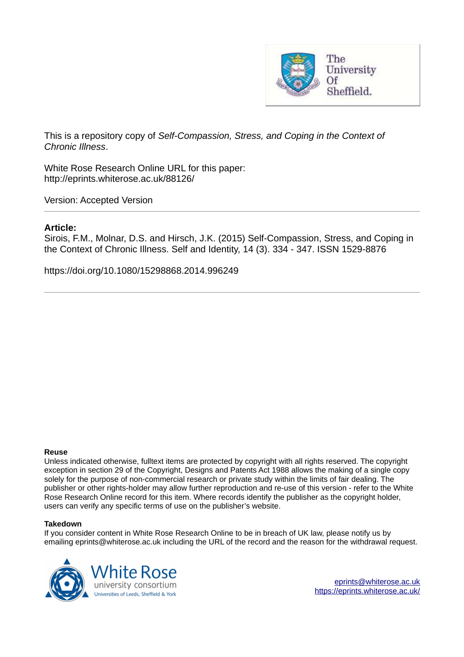

This is a repository copy of *Self-Compassion, Stress, and Coping in the Context of Chronic Illness*.

White Rose Research Online URL for this paper: http://eprints.whiterose.ac.uk/88126/

Version: Accepted Version

## **Article:**

Sirois, F.M., Molnar, D.S. and Hirsch, J.K. (2015) Self-Compassion, Stress, and Coping in the Context of Chronic Illness. Self and Identity, 14 (3). 334 - 347. ISSN 1529-8876

https://doi.org/10.1080/15298868.2014.996249

#### **Reuse**

Unless indicated otherwise, fulltext items are protected by copyright with all rights reserved. The copyright exception in section 29 of the Copyright, Designs and Patents Act 1988 allows the making of a single copy solely for the purpose of non-commercial research or private study within the limits of fair dealing. The publisher or other rights-holder may allow further reproduction and re-use of this version - refer to the White Rose Research Online record for this item. Where records identify the publisher as the copyright holder, users can verify any specific terms of use on the publisher's website.

#### **Takedown**

If you consider content in White Rose Research Online to be in breach of UK law, please notify us by emailing eprints@whiterose.ac.uk including the URL of the record and the reason for the withdrawal request.

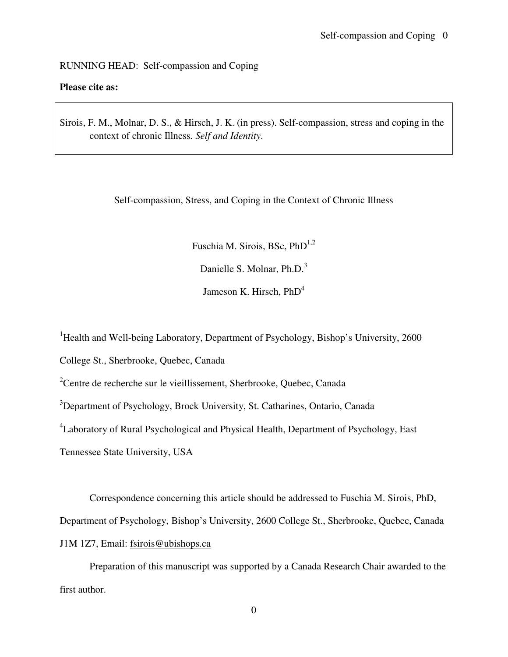## RUNNING HEAD: Self-compassion and Coping

## **Please cite as:**

Sirois, F. M., Molnar, D. S., & Hirsch, J. K. (in press). Self-compassion, stress and coping in the context of chronic Illness*. Self and Identity*.

Self-compassion, Stress, and Coping in the Context of Chronic Illness

Fuschia M. Sirois, BSc, PhD<sup>1,2</sup>

Danielle S. Molnar, Ph.D.<sup>3</sup>

Jameson K. Hirsch,  $PhD<sup>4</sup>$ 

<sup>1</sup>Health and Well-being Laboratory, Department of Psychology, Bishop's University, 2600

College St., Sherbrooke, Quebec, Canada

<sup>2</sup>Centre de recherche sur le vieillissement, Sherbrooke, Quebec, Canada

<sup>3</sup>Department of Psychology, Brock University, St. Catharines, Ontario, Canada

<sup>4</sup>Laboratory of Rural Psychological and Physical Health, Department of Psychology, East

Tennessee State University, USA

Correspondence concerning this article should be addressed to Fuschia M. Sirois, PhD, Department of Psychology, Bishop's University, 2600 College St., Sherbrooke, Quebec, Canada J1M 1Z7, Email: fsirois@ubishops.ca

Preparation of this manuscript was supported by a Canada Research Chair awarded to the first author.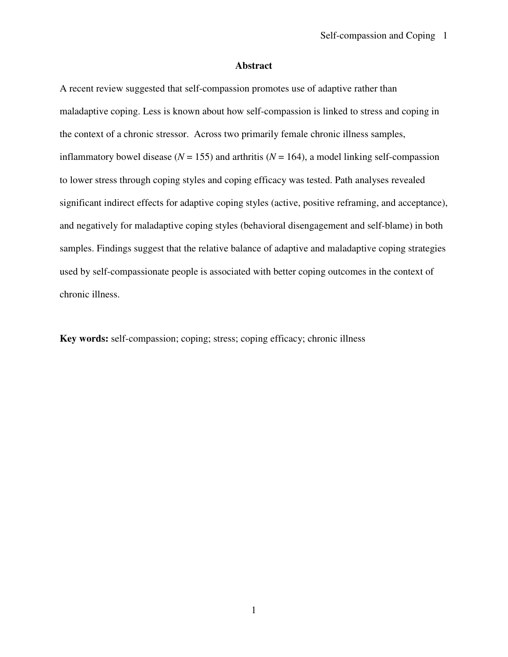## **Abstract**

A recent review suggested that self-compassion promotes use of adaptive rather than maladaptive coping. Less is known about how self-compassion is linked to stress and coping in the context of a chronic stressor. Across two primarily female chronic illness samples, inflammatory bowel disease ( $N = 155$ ) and arthritis ( $N = 164$ ), a model linking self-compassion to lower stress through coping styles and coping efficacy was tested. Path analyses revealed significant indirect effects for adaptive coping styles (active, positive reframing, and acceptance), and negatively for maladaptive coping styles (behavioral disengagement and self-blame) in both samples. Findings suggest that the relative balance of adaptive and maladaptive coping strategies used by self-compassionate people is associated with better coping outcomes in the context of chronic illness.

**Key words:** self-compassion; coping; stress; coping efficacy; chronic illness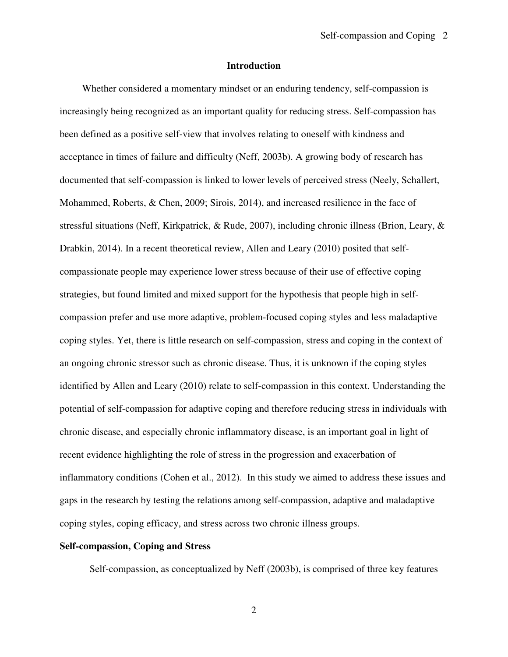## **Introduction**

Whether considered a momentary mindset or an enduring tendency, self-compassion is increasingly being recognized as an important quality for reducing stress. Self-compassion has been defined as a positive self-view that involves relating to oneself with kindness and acceptance in times of failure and difficulty (Neff, 2003b). A growing body of research has documented that self-compassion is linked to lower levels of perceived stress (Neely, Schallert, Mohammed, Roberts, & Chen, 2009; Sirois, 2014), and increased resilience in the face of stressful situations (Neff, Kirkpatrick, & Rude, 2007), including chronic illness (Brion, Leary, & Drabkin, 2014). In a recent theoretical review, Allen and Leary (2010) posited that selfcompassionate people may experience lower stress because of their use of effective coping strategies, but found limited and mixed support for the hypothesis that people high in selfcompassion prefer and use more adaptive, problem-focused coping styles and less maladaptive coping styles. Yet, there is little research on self-compassion, stress and coping in the context of an ongoing chronic stressor such as chronic disease. Thus, it is unknown if the coping styles identified by Allen and Leary (2010) relate to self-compassion in this context. Understanding the potential of self-compassion for adaptive coping and therefore reducing stress in individuals with chronic disease, and especially chronic inflammatory disease, is an important goal in light of recent evidence highlighting the role of stress in the progression and exacerbation of inflammatory conditions (Cohen et al., 2012). In this study we aimed to address these issues and gaps in the research by testing the relations among self-compassion, adaptive and maladaptive coping styles, coping efficacy, and stress across two chronic illness groups.

## **Self-compassion, Coping and Stress**

Self-compassion, as conceptualized by Neff (2003b), is comprised of three key features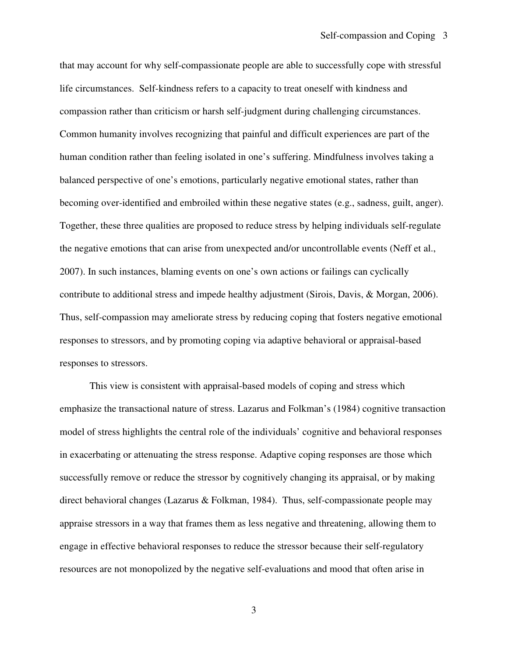that may account for why self-compassionate people are able to successfully cope with stressful life circumstances. Self-kindness refers to a capacity to treat oneself with kindness and compassion rather than criticism or harsh self-judgment during challenging circumstances. Common humanity involves recognizing that painful and difficult experiences are part of the human condition rather than feeling isolated in one's suffering. Mindfulness involves taking a balanced perspective of one's emotions, particularly negative emotional states, rather than becoming over-identified and embroiled within these negative states (e.g., sadness, guilt, anger). Together, these three qualities are proposed to reduce stress by helping individuals self-regulate the negative emotions that can arise from unexpected and/or uncontrollable events (Neff et al., 2007). In such instances, blaming events on one's own actions or failings can cyclically contribute to additional stress and impede healthy adjustment (Sirois, Davis, & Morgan, 2006). Thus, self-compassion may ameliorate stress by reducing coping that fosters negative emotional responses to stressors, and by promoting coping via adaptive behavioral or appraisal-based responses to stressors.

 This view is consistent with appraisal-based models of coping and stress which emphasize the transactional nature of stress. Lazarus and Folkman's (1984) cognitive transaction model of stress highlights the central role of the individuals' cognitive and behavioral responses in exacerbating or attenuating the stress response. Adaptive coping responses are those which successfully remove or reduce the stressor by cognitively changing its appraisal, or by making direct behavioral changes (Lazarus & Folkman, 1984). Thus, self-compassionate people may appraise stressors in a way that frames them as less negative and threatening, allowing them to engage in effective behavioral responses to reduce the stressor because their self-regulatory resources are not monopolized by the negative self-evaluations and mood that often arise in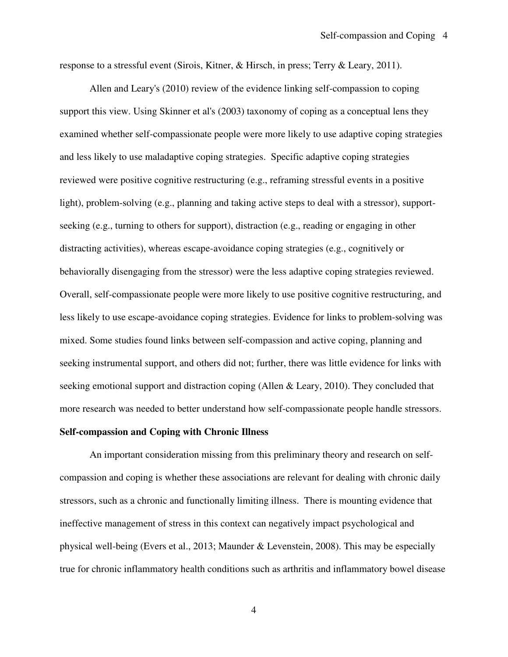response to a stressful event (Sirois, Kitner, & Hirsch, in press; Terry & Leary, 2011).

 Allen and Leary's (2010) review of the evidence linking self-compassion to coping support this view. Using Skinner et al's (2003) taxonomy of coping as a conceptual lens they examined whether self-compassionate people were more likely to use adaptive coping strategies and less likely to use maladaptive coping strategies. Specific adaptive coping strategies reviewed were positive cognitive restructuring (e.g., reframing stressful events in a positive light), problem-solving (e.g., planning and taking active steps to deal with a stressor), supportseeking (e.g., turning to others for support), distraction (e.g., reading or engaging in other distracting activities), whereas escape-avoidance coping strategies (e.g., cognitively or behaviorally disengaging from the stressor) were the less adaptive coping strategies reviewed. Overall, self-compassionate people were more likely to use positive cognitive restructuring, and less likely to use escape-avoidance coping strategies. Evidence for links to problem-solving was mixed. Some studies found links between self-compassion and active coping, planning and seeking instrumental support, and others did not; further, there was little evidence for links with seeking emotional support and distraction coping (Allen & Leary, 2010). They concluded that more research was needed to better understand how self-compassionate people handle stressors.

#### **Self-compassion and Coping with Chronic Illness**

 An important consideration missing from this preliminary theory and research on selfcompassion and coping is whether these associations are relevant for dealing with chronic daily stressors, such as a chronic and functionally limiting illness. There is mounting evidence that ineffective management of stress in this context can negatively impact psychological and physical well-being (Evers et al., 2013; Maunder & Levenstein, 2008). This may be especially true for chronic inflammatory health conditions such as arthritis and inflammatory bowel disease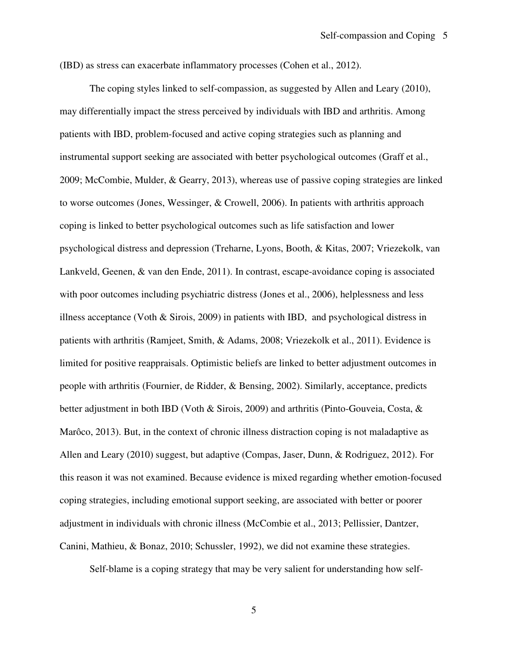(IBD) as stress can exacerbate inflammatory processes (Cohen et al., 2012).

 The coping styles linked to self-compassion, as suggested by Allen and Leary (2010), may differentially impact the stress perceived by individuals with IBD and arthritis. Among patients with IBD, problem-focused and active coping strategies such as planning and instrumental support seeking are associated with better psychological outcomes (Graff et al., 2009; McCombie, Mulder, & Gearry, 2013), whereas use of passive coping strategies are linked to worse outcomes (Jones, Wessinger, & Crowell, 2006). In patients with arthritis approach coping is linked to better psychological outcomes such as life satisfaction and lower psychological distress and depression (Treharne, Lyons, Booth, & Kitas, 2007; Vriezekolk, van Lankveld, Geenen, & van den Ende, 2011). In contrast, escape-avoidance coping is associated with poor outcomes including psychiatric distress (Jones et al., 2006), helplessness and less illness acceptance (Voth & Sirois, 2009) in patients with IBD, and psychological distress in patients with arthritis (Ramjeet, Smith, & Adams, 2008; Vriezekolk et al., 2011). Evidence is limited for positive reappraisals. Optimistic beliefs are linked to better adjustment outcomes in people with arthritis (Fournier, de Ridder, & Bensing, 2002). Similarly, acceptance, predicts better adjustment in both IBD (Voth & Sirois, 2009) and arthritis (Pinto-Gouveia, Costa, & Marôco, 2013). But, in the context of chronic illness distraction coping is not maladaptive as Allen and Leary (2010) suggest, but adaptive (Compas, Jaser, Dunn, & Rodriguez, 2012). For this reason it was not examined. Because evidence is mixed regarding whether emotion-focused coping strategies, including emotional support seeking, are associated with better or poorer adjustment in individuals with chronic illness (McCombie et al., 2013; Pellissier, Dantzer, Canini, Mathieu, & Bonaz, 2010; Schussler, 1992), we did not examine these strategies.

Self-blame is a coping strategy that may be very salient for understanding how self-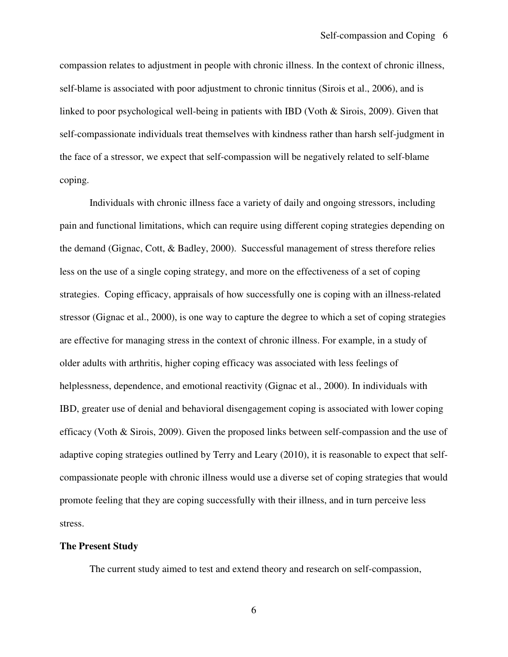compassion relates to adjustment in people with chronic illness. In the context of chronic illness, self-blame is associated with poor adjustment to chronic tinnitus (Sirois et al., 2006), and is linked to poor psychological well-being in patients with IBD (Voth & Sirois, 2009). Given that self-compassionate individuals treat themselves with kindness rather than harsh self-judgment in the face of a stressor, we expect that self-compassion will be negatively related to self-blame coping.

 Individuals with chronic illness face a variety of daily and ongoing stressors, including pain and functional limitations, which can require using different coping strategies depending on the demand (Gignac, Cott, & Badley, 2000). Successful management of stress therefore relies less on the use of a single coping strategy, and more on the effectiveness of a set of coping strategies. Coping efficacy, appraisals of how successfully one is coping with an illness-related stressor (Gignac et al., 2000), is one way to capture the degree to which a set of coping strategies are effective for managing stress in the context of chronic illness. For example, in a study of older adults with arthritis, higher coping efficacy was associated with less feelings of helplessness, dependence, and emotional reactivity (Gignac et al., 2000). In individuals with IBD, greater use of denial and behavioral disengagement coping is associated with lower coping efficacy (Voth & Sirois, 2009). Given the proposed links between self-compassion and the use of adaptive coping strategies outlined by Terry and Leary (2010), it is reasonable to expect that selfcompassionate people with chronic illness would use a diverse set of coping strategies that would promote feeling that they are coping successfully with their illness, and in turn perceive less stress.

## **The Present Study**

The current study aimed to test and extend theory and research on self-compassion,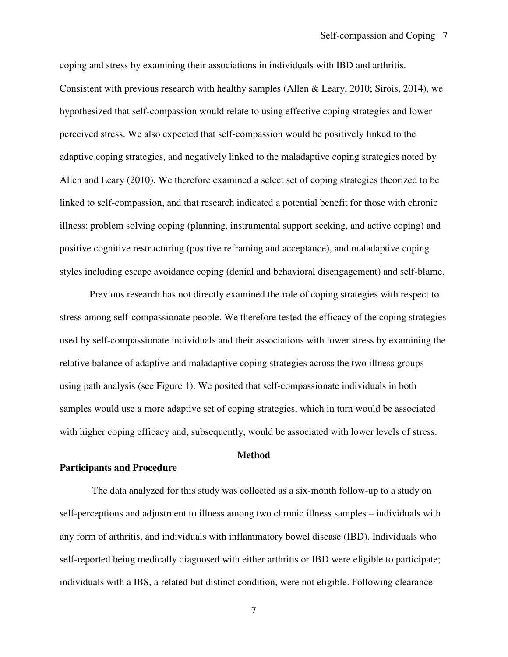coping and stress by examining their associations in individuals with IBD and arthritis. Consistent with previous research with healthy samples (Allen & Leary, 2010; Sirois, 2014), we hypothesized that self-compassion would relate to using effective coping strategies and lower perceived stress. We also expected that self-compassion would be positively linked to the adaptive coping strategies, and negatively linked to the maladaptive coping strategies noted by Allen and Leary (2010). We therefore examined a select set of coping strategies theorized to be linked to self-compassion, and that research indicated a potential benefit for those with chronic illness: problem solving coping (planning, instrumental support seeking, and active coping) and positive cognitive restructuring (positive reframing and acceptance), and maladaptive coping styles including escape avoidance coping (denial and behavioral disengagement) and self-blame.

Previous research has not directly examined the role of coping strategies with respect to stress among self-compassionate people. We therefore tested the efficacy of the coping strategies used by self-compassionate individuals and their associations with lower stress by examining the relative balance of adaptive and maladaptive coping strategies across the two illness groups using path analysis (see Figure 1). We posited that self-compassionate individuals in both samples would use a more adaptive set of coping strategies, which in turn would be associated with higher coping efficacy and, subsequently, would be associated with lower levels of stress.

## **Method**

## **Participants and Procedure**

 The data analyzed for this study was collected as a six-month follow-up to a study on self-perceptions and adjustment to illness among two chronic illness samples – individuals with any form of arthritis, and individuals with inflammatory bowel disease (IBD). Individuals who self-reported being medically diagnosed with either arthritis or IBD were eligible to participate; individuals with a IBS, a related but distinct condition, were not eligible. Following clearance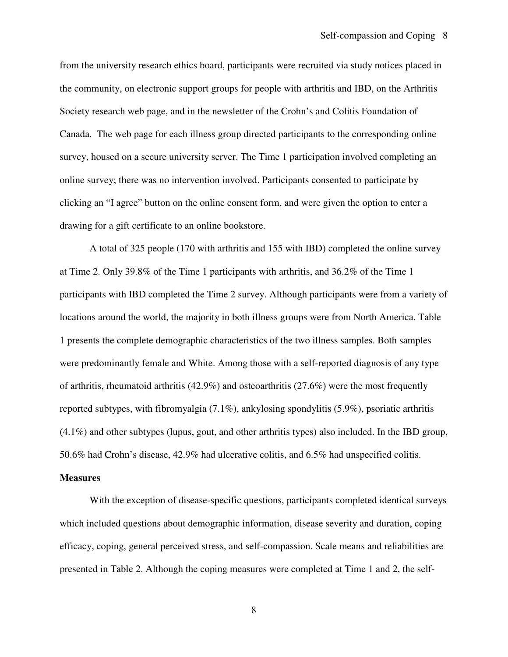from the university research ethics board, participants were recruited via study notices placed in the community, on electronic support groups for people with arthritis and IBD, on the Arthritis Society research web page, and in the newsletter of the Crohn's and Colitis Foundation of Canada. The web page for each illness group directed participants to the corresponding online survey, housed on a secure university server. The Time 1 participation involved completing an online survey; there was no intervention involved. Participants consented to participate by clicking an "I agree" button on the online consent form, and were given the option to enter a drawing for a gift certificate to an online bookstore.

A total of 325 people (170 with arthritis and 155 with IBD) completed the online survey at Time 2. Only 39.8% of the Time 1 participants with arthritis, and 36.2% of the Time 1 participants with IBD completed the Time 2 survey. Although participants were from a variety of locations around the world, the majority in both illness groups were from North America. Table 1 presents the complete demographic characteristics of the two illness samples. Both samples were predominantly female and White. Among those with a self-reported diagnosis of any type of arthritis, rheumatoid arthritis  $(42.9%)$  and osteoarthritis  $(27.6%)$  were the most frequently reported subtypes, with fibromyalgia (7.1%), ankylosing spondylitis (5.9%), psoriatic arthritis (4.1%) and other subtypes (lupus, gout, and other arthritis types) also included. In the IBD group, 50.6% had Crohn's disease, 42.9% had ulcerative colitis, and 6.5% had unspecified colitis.

#### **Measures**

With the exception of disease-specific questions, participants completed identical surveys which included questions about demographic information, disease severity and duration, coping efficacy, coping, general perceived stress, and self-compassion. Scale means and reliabilities are presented in Table 2. Although the coping measures were completed at Time 1 and 2, the self-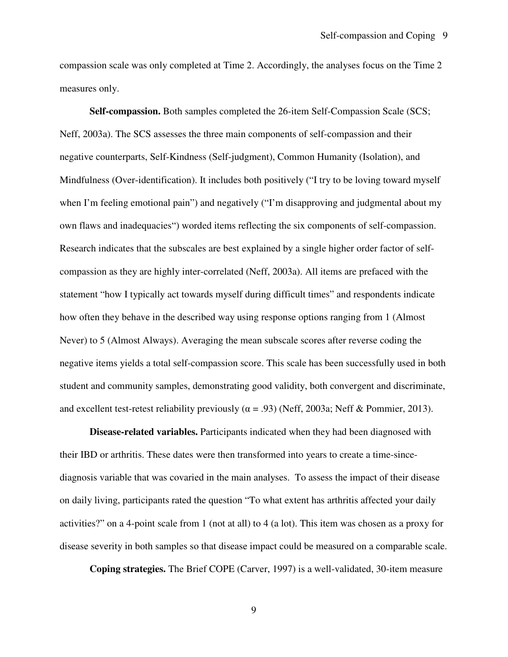compassion scale was only completed at Time 2. Accordingly, the analyses focus on the Time 2 measures only.

**Self-compassion.** Both samples completed the 26-item Self-Compassion Scale (SCS; Neff, 2003a). The SCS assesses the three main components of self-compassion and their negative counterparts, Self-Kindness (Self-judgment), Common Humanity (Isolation), and Mindfulness (Over-identification). It includes both positively ("I try to be loving toward myself when I'm feeling emotional pain") and negatively ("I'm disapproving and judgmental about my own flaws and inadequacies") worded items reflecting the six components of self-compassion. Research indicates that the subscales are best explained by a single higher order factor of selfcompassion as they are highly inter-correlated (Neff, 2003a). All items are prefaced with the statement "how I typically act towards myself during difficult times" and respondents indicate how often they behave in the described way using response options ranging from 1 (Almost Never) to 5 (Almost Always). Averaging the mean subscale scores after reverse coding the negative items yields a total self-compassion score. This scale has been successfully used in both student and community samples, demonstrating good validity, both convergent and discriminate, and excellent test-retest reliability previously ( $\alpha$  = .93) (Neff, 2003a; Neff & Pommier, 2013).

**Disease-related variables.** Participants indicated when they had been diagnosed with their IBD or arthritis. These dates were then transformed into years to create a time-sincediagnosis variable that was covaried in the main analyses. To assess the impact of their disease on daily living, participants rated the question "To what extent has arthritis affected your daily activities?" on a 4-point scale from 1 (not at all) to 4 (a lot). This item was chosen as a proxy for disease severity in both samples so that disease impact could be measured on a comparable scale.

**Coping strategies.** The Brief COPE (Carver, 1997) is a well-validated, 30-item measure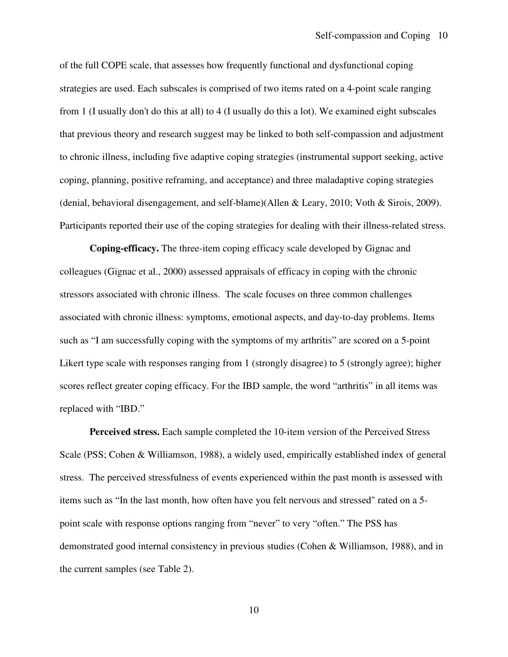of the full COPE scale, that assesses how frequently functional and dysfunctional coping strategies are used. Each subscales is comprised of two items rated on a 4-point scale ranging from 1 (I usually don't do this at all) to 4 (I usually do this a lot). We examined eight subscales that previous theory and research suggest may be linked to both self-compassion and adjustment to chronic illness, including five adaptive coping strategies (instrumental support seeking, active coping, planning, positive reframing, and acceptance) and three maladaptive coping strategies (denial, behavioral disengagement, and self-blame)(Allen & Leary, 2010; Voth & Sirois, 2009). Participants reported their use of the coping strategies for dealing with their illness-related stress.

**Coping-efficacy.** The three-item coping efficacy scale developed by Gignac and colleagues (Gignac et al., 2000) assessed appraisals of efficacy in coping with the chronic stressors associated with chronic illness. The scale focuses on three common challenges associated with chronic illness: symptoms, emotional aspects, and day-to-day problems. Items such as "I am successfully coping with the symptoms of my arthritis" are scored on a 5-point Likert type scale with responses ranging from 1 (strongly disagree) to 5 (strongly agree); higher scores reflect greater coping efficacy. For the IBD sample, the word "arthritis" in all items was replaced with "IBD."

**Perceived stress.** Each sample completed the 10-item version of the Perceived Stress Scale (PSS; Cohen & Williamson, 1988), a widely used, empirically established index of general stress. The perceived stressfulness of events experienced within the past month is assessed with items such as "In the last month, how often have you felt nervous and stressed" rated on a 5 point scale with response options ranging from "never" to very "often." The PSS has demonstrated good internal consistency in previous studies (Cohen & Williamson, 1988), and in the current samples (see Table 2).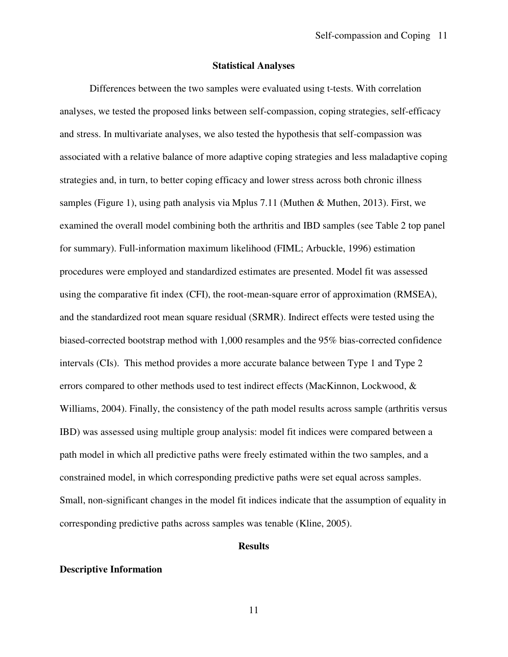#### **Statistical Analyses**

 Differences between the two samples were evaluated using t-tests. With correlation analyses, we tested the proposed links between self-compassion, coping strategies, self-efficacy and stress. In multivariate analyses, we also tested the hypothesis that self-compassion was associated with a relative balance of more adaptive coping strategies and less maladaptive coping strategies and, in turn, to better coping efficacy and lower stress across both chronic illness samples (Figure 1), using path analysis via Mplus 7.11 (Muthen & Muthen, 2013). First, we examined the overall model combining both the arthritis and IBD samples (see Table 2 top panel for summary). Full-information maximum likelihood (FIML; Arbuckle, 1996) estimation procedures were employed and standardized estimates are presented. Model fit was assessed using the comparative fit index (CFI), the root-mean-square error of approximation (RMSEA), and the standardized root mean square residual (SRMR). Indirect effects were tested using the biased-corrected bootstrap method with 1,000 resamples and the 95% bias-corrected confidence intervals (CIs). This method provides a more accurate balance between Type 1 and Type 2 errors compared to other methods used to test indirect effects (MacKinnon, Lockwood, & Williams, 2004). Finally, the consistency of the path model results across sample (arthritis versus IBD) was assessed using multiple group analysis: model fit indices were compared between a path model in which all predictive paths were freely estimated within the two samples, and a constrained model, in which corresponding predictive paths were set equal across samples. Small, non-significant changes in the model fit indices indicate that the assumption of equality in corresponding predictive paths across samples was tenable (Kline, 2005).

## **Results**

#### **Descriptive Information**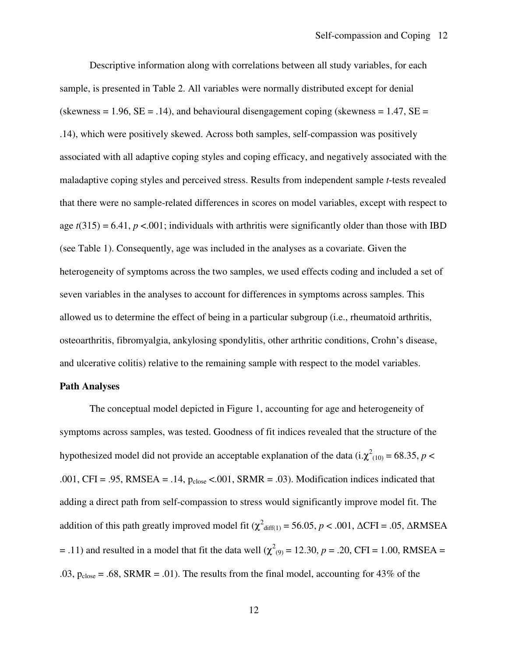Descriptive information along with correlations between all study variables, for each sample, is presented in Table 2. All variables were normally distributed except for denial (skewness  $= 1.96$ ,  $SE = .14$ ), and behavioural disengagement coping (skewness  $= 1.47$ ,  $SE =$ .14), which were positively skewed. Across both samples, self-compassion was positively associated with all adaptive coping styles and coping efficacy, and negatively associated with the maladaptive coping styles and perceived stress. Results from independent sample *t*-tests revealed that there were no sample-related differences in scores on model variables, except with respect to age  $t(315) = 6.41$ ,  $p < 0.001$ ; individuals with arthritis were significantly older than those with IBD (see Table 1). Consequently, age was included in the analyses as a covariate. Given the heterogeneity of symptoms across the two samples, we used effects coding and included a set of seven variables in the analyses to account for differences in symptoms across samples. This allowed us to determine the effect of being in a particular subgroup (i.e., rheumatoid arthritis, osteoarthritis, fibromyalgia, ankylosing spondylitis, other arthritic conditions, Crohn's disease, and ulcerative colitis) relative to the remaining sample with respect to the model variables.

#### **Path Analyses**

The conceptual model depicted in Figure 1, accounting for age and heterogeneity of symptoms across samples, was tested. Goodness of fit indices revealed that the structure of the hypothesized model did not provide an acceptable explanation of the data  $(i.\chi^2_{(10)} = 68.35, p <$ .001, CFI = .95, RMSEA = .14,  $p_{close}$  <.001, SRMR = .03). Modification indices indicated that adding a direct path from self-compassion to stress would significantly improve model fit. The addition of this path greatly improved model fit ( $\chi^2$ <sub>diff(1)</sub> = 56.05, *p* < .001,  $\Delta$ CFI = .05,  $\Delta$ RMSEA  $=$  .11) and resulted in a model that fit the data well ( $\chi^2$ <sub>(9)</sub> = 12.30, *p* = .20, CFI = 1.00, RMSEA = .03,  $p_{close} = .68$ , SRMR = .01). The results from the final model, accounting for 43% of the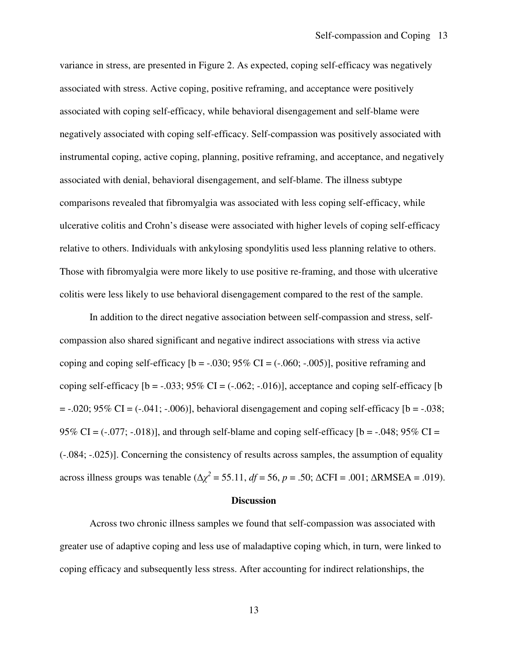variance in stress, are presented in Figure 2. As expected, coping self-efficacy was negatively associated with stress. Active coping, positive reframing, and acceptance were positively associated with coping self-efficacy, while behavioral disengagement and self-blame were negatively associated with coping self-efficacy. Self-compassion was positively associated with instrumental coping, active coping, planning, positive reframing, and acceptance, and negatively associated with denial, behavioral disengagement, and self-blame. The illness subtype comparisons revealed that fibromyalgia was associated with less coping self-efficacy, while ulcerative colitis and Crohn's disease were associated with higher levels of coping self-efficacy relative to others. Individuals with ankylosing spondylitis used less planning relative to others. Those with fibromyalgia were more likely to use positive re-framing, and those with ulcerative colitis were less likely to use behavioral disengagement compared to the rest of the sample.

In addition to the direct negative association between self-compassion and stress, selfcompassion also shared significant and negative indirect associations with stress via active coping and coping self-efficacy  $[b = -.030; 95\% \text{ CI} = (-.060; -.005)]$ , positive reframing and coping self-efficacy  $[b = -.033; 95\% \text{ CI} = (-.062; -.016)]$ , acceptance and coping self-efficacy  $[b]$  $= -0.020$ ; 95% CI =  $(-0.041; -0.006)$ ], behavioral disengagement and coping self-efficacy [b =  $-0.038$ ; 95% CI =  $(-.077; -.018)$ ], and through self-blame and coping self-efficacy [b =  $-.048;95\%$  CI = (-.084; -.025)]. Concerning the consistency of results across samples, the assumption of equality across illness groups was tenable  $(\Delta \chi^2 = 55.11, df = 56, p = .50; \Delta CFI = .001; \Delta RMSEA = .019)$ .

#### **Discussion**

Across two chronic illness samples we found that self-compassion was associated with greater use of adaptive coping and less use of maladaptive coping which, in turn, were linked to coping efficacy and subsequently less stress. After accounting for indirect relationships, the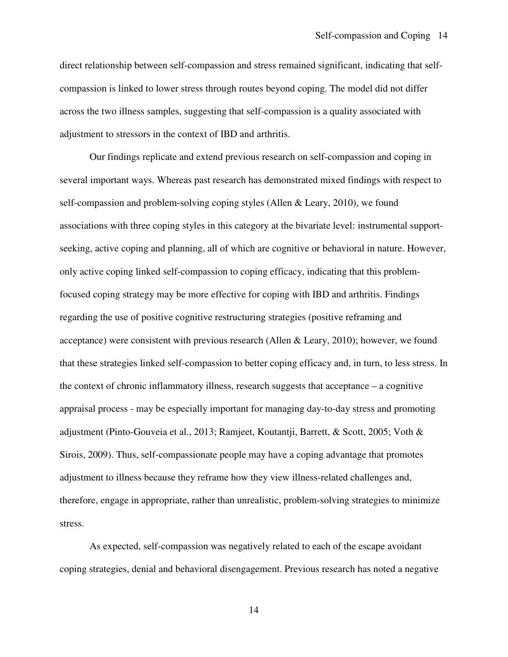direct relationship between self-compassion and stress remained significant, indicating that selfcompassion is linked to lower stress through routes beyond coping. The model did not differ across the two illness samples, suggesting that self-compassion is a quality associated with adjustment to stressors in the context of IBD and arthritis.

Our findings replicate and extend previous research on self-compassion and coping in several important ways. Whereas past research has demonstrated mixed findings with respect to self-compassion and problem-solving coping styles (Allen & Leary, 2010), we found associations with three coping styles in this category at the bivariate level: instrumental supportseeking, active coping and planning, all of which are cognitive or behavioral in nature. However, only active coping linked self-compassion to coping efficacy, indicating that this problemfocused coping strategy may be more effective for coping with IBD and arthritis. Findings regarding the use of positive cognitive restructuring strategies (positive reframing and acceptance) were consistent with previous research (Allen & Leary, 2010); however, we found that these strategies linked self-compassion to better coping efficacy and, in turn, to less stress. In the context of chronic inflammatory illness, research suggests that acceptance – a cognitive appraisal process - may be especially important for managing day-to-day stress and promoting adjustment (Pinto-Gouveia et al., 2013; Ramjeet, Koutantji, Barrett, & Scott, 2005; Voth & Sirois, 2009). Thus, self-compassionate people may have a coping advantage that promotes adjustment to illness because they reframe how they view illness-related challenges and, therefore, engage in appropriate, rather than unrealistic, problem-solving strategies to minimize stress.

As expected, self-compassion was negatively related to each of the escape avoidant coping strategies, denial and behavioral disengagement. Previous research has noted a negative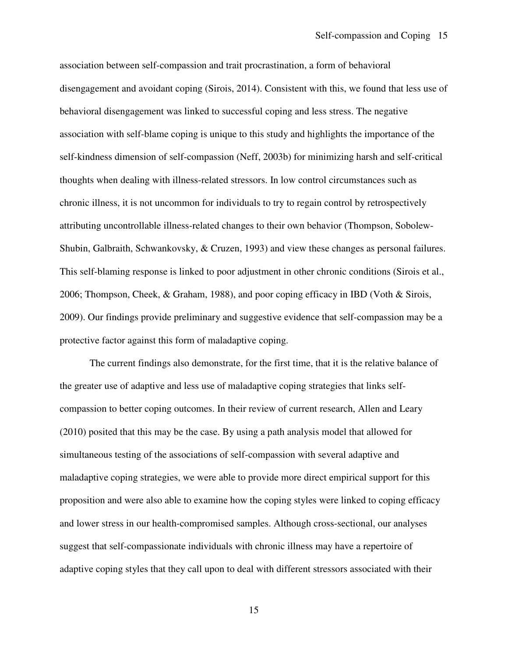association between self-compassion and trait procrastination, a form of behavioral disengagement and avoidant coping (Sirois, 2014). Consistent with this, we found that less use of behavioral disengagement was linked to successful coping and less stress. The negative association with self-blame coping is unique to this study and highlights the importance of the self-kindness dimension of self-compassion (Neff, 2003b) for minimizing harsh and self-critical thoughts when dealing with illness-related stressors. In low control circumstances such as chronic illness, it is not uncommon for individuals to try to regain control by retrospectively attributing uncontrollable illness-related changes to their own behavior (Thompson, Sobolew-Shubin, Galbraith, Schwankovsky, & Cruzen, 1993) and view these changes as personal failures. This self-blaming response is linked to poor adjustment in other chronic conditions (Sirois et al., 2006; Thompson, Cheek, & Graham, 1988), and poor coping efficacy in IBD (Voth & Sirois, 2009). Our findings provide preliminary and suggestive evidence that self-compassion may be a protective factor against this form of maladaptive coping.

The current findings also demonstrate, for the first time, that it is the relative balance of the greater use of adaptive and less use of maladaptive coping strategies that links selfcompassion to better coping outcomes. In their review of current research, Allen and Leary (2010) posited that this may be the case. By using a path analysis model that allowed for simultaneous testing of the associations of self-compassion with several adaptive and maladaptive coping strategies, we were able to provide more direct empirical support for this proposition and were also able to examine how the coping styles were linked to coping efficacy and lower stress in our health-compromised samples. Although cross-sectional, our analyses suggest that self-compassionate individuals with chronic illness may have a repertoire of adaptive coping styles that they call upon to deal with different stressors associated with their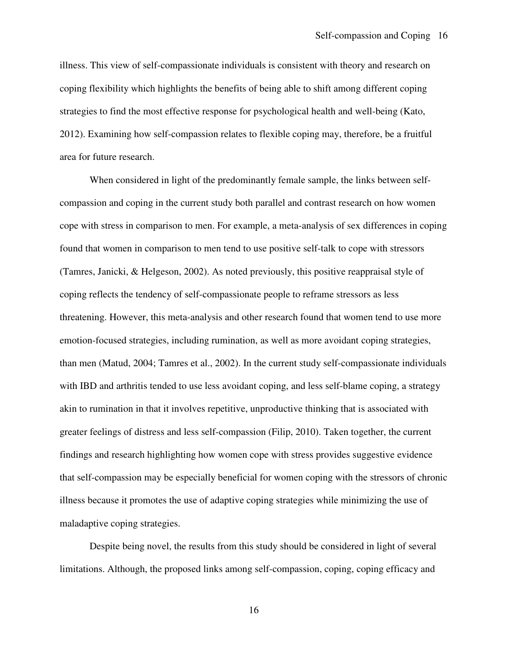illness. This view of self-compassionate individuals is consistent with theory and research on coping flexibility which highlights the benefits of being able to shift among different coping strategies to find the most effective response for psychological health and well-being (Kato, 2012). Examining how self-compassion relates to flexible coping may, therefore, be a fruitful area for future research.

When considered in light of the predominantly female sample, the links between selfcompassion and coping in the current study both parallel and contrast research on how women cope with stress in comparison to men. For example, a meta-analysis of sex differences in coping found that women in comparison to men tend to use positive self-talk to cope with stressors (Tamres, Janicki, & Helgeson, 2002). As noted previously, this positive reappraisal style of coping reflects the tendency of self-compassionate people to reframe stressors as less threatening. However, this meta-analysis and other research found that women tend to use more emotion-focused strategies, including rumination, as well as more avoidant coping strategies, than men (Matud, 2004; Tamres et al., 2002). In the current study self-compassionate individuals with IBD and arthritis tended to use less avoidant coping, and less self-blame coping, a strategy akin to rumination in that it involves repetitive, unproductive thinking that is associated with greater feelings of distress and less self-compassion (Filip, 2010). Taken together, the current findings and research highlighting how women cope with stress provides suggestive evidence that self-compassion may be especially beneficial for women coping with the stressors of chronic illness because it promotes the use of adaptive coping strategies while minimizing the use of maladaptive coping strategies.

Despite being novel, the results from this study should be considered in light of several limitations. Although, the proposed links among self-compassion, coping, coping efficacy and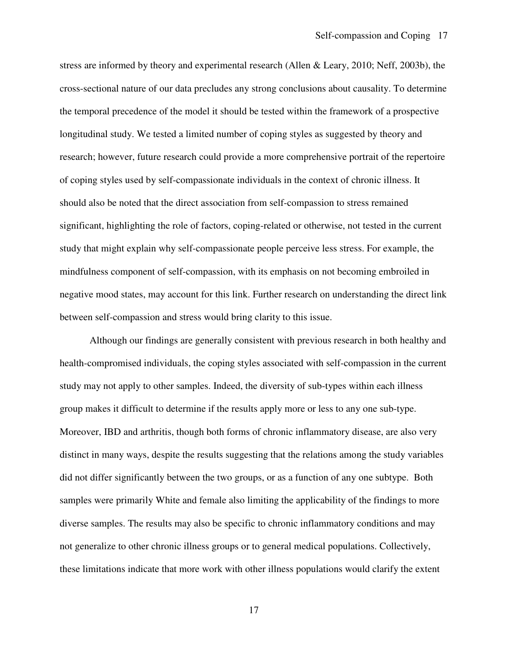stress are informed by theory and experimental research (Allen & Leary, 2010; Neff, 2003b), the cross-sectional nature of our data precludes any strong conclusions about causality. To determine the temporal precedence of the model it should be tested within the framework of a prospective longitudinal study. We tested a limited number of coping styles as suggested by theory and research; however, future research could provide a more comprehensive portrait of the repertoire of coping styles used by self-compassionate individuals in the context of chronic illness. It should also be noted that the direct association from self-compassion to stress remained significant, highlighting the role of factors, coping-related or otherwise, not tested in the current study that might explain why self-compassionate people perceive less stress. For example, the mindfulness component of self-compassion, with its emphasis on not becoming embroiled in negative mood states, may account for this link. Further research on understanding the direct link between self-compassion and stress would bring clarity to this issue.

Although our findings are generally consistent with previous research in both healthy and health-compromised individuals, the coping styles associated with self-compassion in the current study may not apply to other samples. Indeed, the diversity of sub-types within each illness group makes it difficult to determine if the results apply more or less to any one sub-type. Moreover, IBD and arthritis, though both forms of chronic inflammatory disease, are also very distinct in many ways, despite the results suggesting that the relations among the study variables did not differ significantly between the two groups, or as a function of any one subtype. Both samples were primarily White and female also limiting the applicability of the findings to more diverse samples. The results may also be specific to chronic inflammatory conditions and may not generalize to other chronic illness groups or to general medical populations. Collectively, these limitations indicate that more work with other illness populations would clarify the extent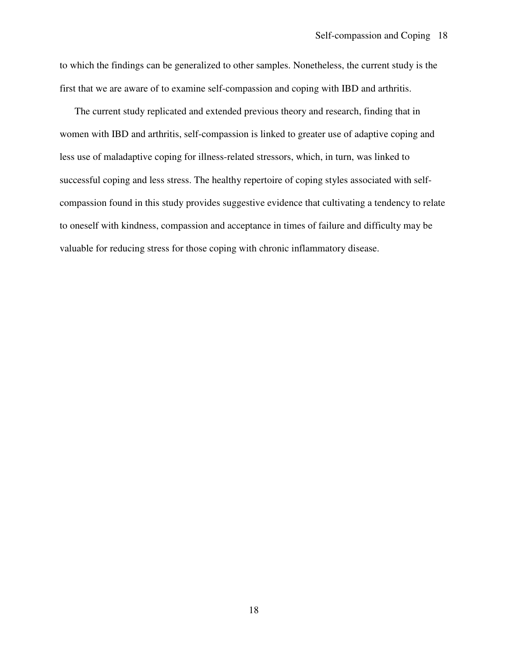to which the findings can be generalized to other samples. Nonetheless, the current study is the first that we are aware of to examine self-compassion and coping with IBD and arthritis.

The current study replicated and extended previous theory and research, finding that in women with IBD and arthritis, self-compassion is linked to greater use of adaptive coping and less use of maladaptive coping for illness-related stressors, which, in turn, was linked to successful coping and less stress. The healthy repertoire of coping styles associated with selfcompassion found in this study provides suggestive evidence that cultivating a tendency to relate to oneself with kindness, compassion and acceptance in times of failure and difficulty may be valuable for reducing stress for those coping with chronic inflammatory disease.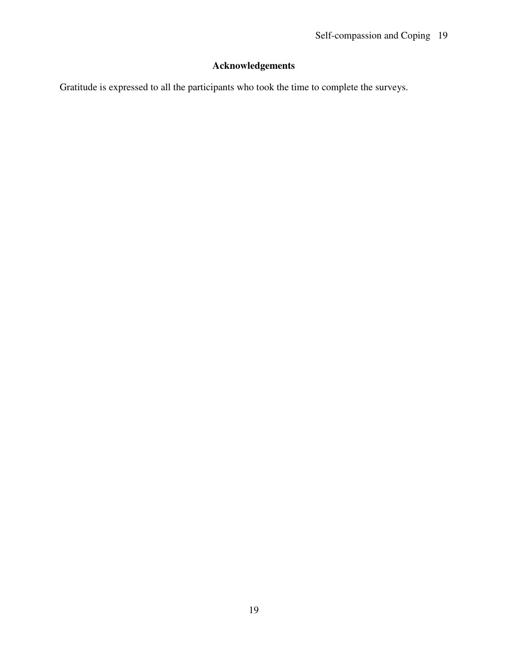# **Acknowledgements**

Gratitude is expressed to all the participants who took the time to complete the surveys.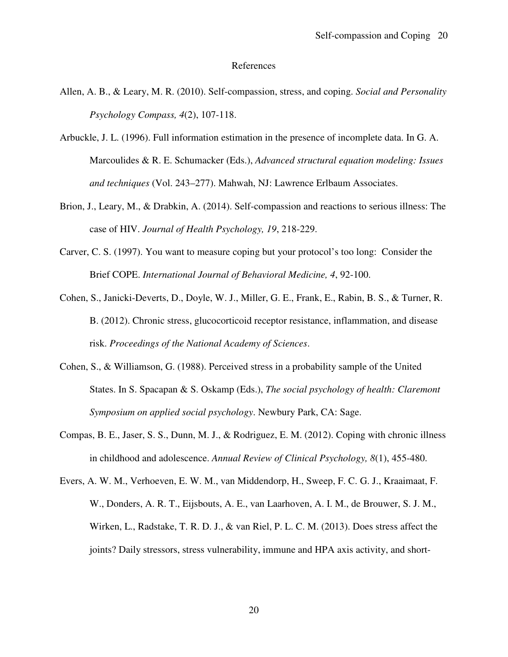#### References

- Allen, A. B., & Leary, M. R. (2010). Self-compassion, stress, and coping. *Social and Personality Psychology Compass, 4*(2), 107-118.
- Arbuckle, J. L. (1996). Full information estimation in the presence of incomplete data. In G. A. Marcoulides & R. E. Schumacker (Eds.), *Advanced structural equation modeling: Issues and techniques* (Vol. 243–277). Mahwah, NJ: Lawrence Erlbaum Associates.
- Brion, J., Leary, M., & Drabkin, A. (2014). Self-compassion and reactions to serious illness: The case of HIV. *Journal of Health Psychology, 19*, 218-229.
- Carver, C. S. (1997). You want to measure coping but your protocol's too long: Consider the Brief COPE. *International Journal of Behavioral Medicine, 4*, 92-100.
- Cohen, S., Janicki-Deverts, D., Doyle, W. J., Miller, G. E., Frank, E., Rabin, B. S., & Turner, R. B. (2012). Chronic stress, glucocorticoid receptor resistance, inflammation, and disease risk. *Proceedings of the National Academy of Sciences*.
- Cohen, S., & Williamson, G. (1988). Perceived stress in a probability sample of the United States. In S. Spacapan & S. Oskamp (Eds.), *The social psychology of health: Claremont Symposium on applied social psychology*. Newbury Park, CA: Sage.
- Compas, B. E., Jaser, S. S., Dunn, M. J., & Rodriguez, E. M. (2012). Coping with chronic illness in childhood and adolescence. *Annual Review of Clinical Psychology, 8*(1), 455-480.
- Evers, A. W. M., Verhoeven, E. W. M., van Middendorp, H., Sweep, F. C. G. J., Kraaimaat, F. W., Donders, A. R. T., Eijsbouts, A. E., van Laarhoven, A. I. M., de Brouwer, S. J. M., Wirken, L., Radstake, T. R. D. J., & van Riel, P. L. C. M. (2013). Does stress affect the joints? Daily stressors, stress vulnerability, immune and HPA axis activity, and short-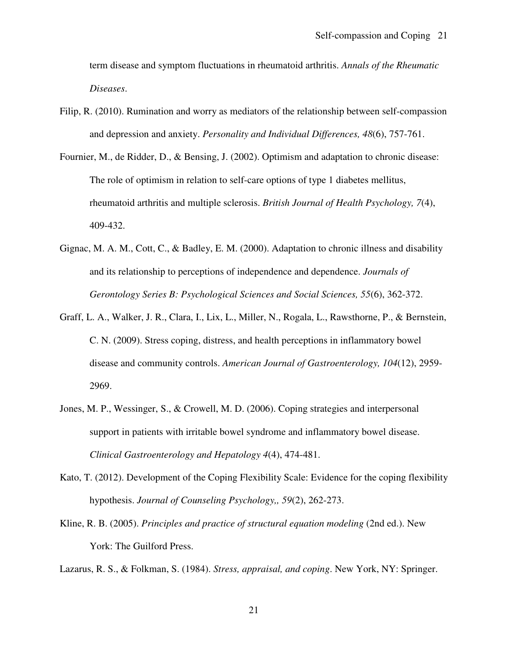term disease and symptom fluctuations in rheumatoid arthritis. *Annals of the Rheumatic Diseases*.

- Filip, R. (2010). Rumination and worry as mediators of the relationship between self-compassion and depression and anxiety. *Personality and Individual Differences, 48*(6), 757-761.
- Fournier, M., de Ridder, D., & Bensing, J. (2002). Optimism and adaptation to chronic disease: The role of optimism in relation to self-care options of type 1 diabetes mellitus, rheumatoid arthritis and multiple sclerosis. *British Journal of Health Psychology, 7*(4), 409-432.
- Gignac, M. A. M., Cott, C., & Badley, E. M. (2000). Adaptation to chronic illness and disability and its relationship to perceptions of independence and dependence. *Journals of Gerontology Series B: Psychological Sciences and Social Sciences, 55*(6), 362-372.
- Graff, L. A., Walker, J. R., Clara, I., Lix, L., Miller, N., Rogala, L., Rawsthorne, P., & Bernstein, C. N. (2009). Stress coping, distress, and health perceptions in inflammatory bowel disease and community controls. *American Journal of Gastroenterology, 104*(12), 2959- 2969.
- Jones, M. P., Wessinger, S., & Crowell, M. D. (2006). Coping strategies and interpersonal support in patients with irritable bowel syndrome and inflammatory bowel disease. *Clinical Gastroenterology and Hepatology 4*(4), 474-481.
- Kato, T. (2012). Development of the Coping Flexibility Scale: Evidence for the coping flexibility hypothesis. *Journal of Counseling Psychology,, 59*(2), 262-273.
- Kline, R. B. (2005). *Principles and practice of structural equation modeling* (2nd ed.). New York: The Guilford Press.

Lazarus, R. S., & Folkman, S. (1984). *Stress, appraisal, and coping*. New York, NY: Springer.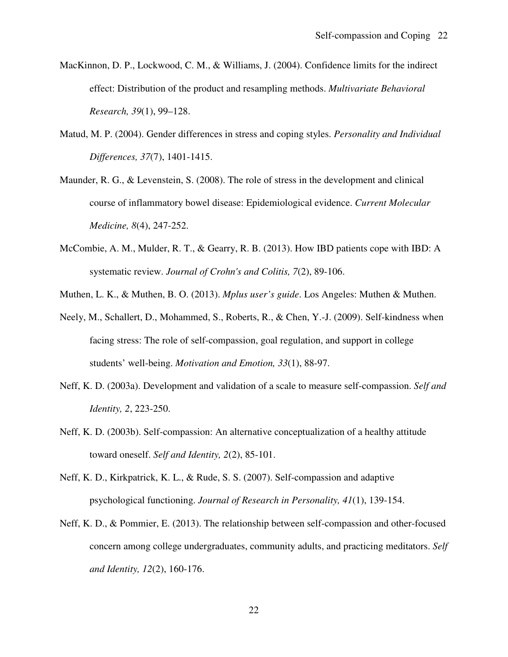- MacKinnon, D. P., Lockwood, C. M., & Williams, J. (2004). Confidence limits for the indirect effect: Distribution of the product and resampling methods. *Multivariate Behavioral Research, 39*(1), 99–128.
- Matud, M. P. (2004). Gender differences in stress and coping styles. *Personality and Individual Differences, 37*(7), 1401-1415.
- Maunder, R. G., & Levenstein, S. (2008). The role of stress in the development and clinical course of inflammatory bowel disease: Epidemiological evidence. *Current Molecular Medicine, 8*(4), 247-252.
- McCombie, A. M., Mulder, R. T., & Gearry, R. B. (2013). How IBD patients cope with IBD: A systematic review. *Journal of Crohn's and Colitis, 7*(2), 89-106.
- Muthen, L. K., & Muthen, B. O. (2013). *Mplus user's guide*. Los Angeles: Muthen & Muthen.
- Neely, M., Schallert, D., Mohammed, S., Roberts, R., & Chen, Y.-J. (2009). Self-kindness when facing stress: The role of self-compassion, goal regulation, and support in college students' well-being. *Motivation and Emotion, 33*(1), 88-97.
- Neff, K. D. (2003a). Development and validation of a scale to measure self-compassion. *Self and Identity, 2*, 223-250.
- Neff, K. D. (2003b). Self-compassion: An alternative conceptualization of a healthy attitude toward oneself. *Self and Identity, 2*(2), 85-101.
- Neff, K. D., Kirkpatrick, K. L., & Rude, S. S. (2007). Self-compassion and adaptive psychological functioning. *Journal of Research in Personality, 41*(1), 139-154.
- Neff, K. D., & Pommier, E. (2013). The relationship between self-compassion and other-focused concern among college undergraduates, community adults, and practicing meditators. *Self and Identity, 12*(2), 160-176.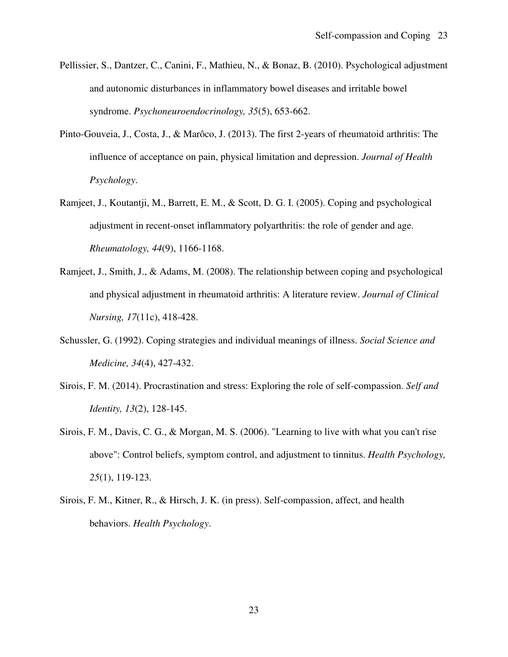- Pellissier, S., Dantzer, C., Canini, F., Mathieu, N., & Bonaz, B. (2010). Psychological adjustment and autonomic disturbances in inflammatory bowel diseases and irritable bowel syndrome. *Psychoneuroendocrinology, 35*(5), 653-662.
- Pinto-Gouveia, J., Costa, J., & Marôco, J. (2013). The first 2-years of rheumatoid arthritis: The influence of acceptance on pain, physical limitation and depression. *Journal of Health Psychology*.
- Ramjeet, J., Koutantji, M., Barrett, E. M., & Scott, D. G. I. (2005). Coping and psychological adjustment in recent-onset inflammatory polyarthritis: the role of gender and age. *Rheumatology, 44*(9), 1166-1168.
- Ramjeet, J., Smith, J., & Adams, M. (2008). The relationship between coping and psychological and physical adjustment in rheumatoid arthritis: A literature review. *Journal of Clinical Nursing, 17*(11c), 418-428.
- Schussler, G. (1992). Coping strategies and individual meanings of illness. *Social Science and Medicine, 34*(4), 427-432.
- Sirois, F. M. (2014). Procrastination and stress: Exploring the role of self-compassion. *Self and Identity, 13*(2), 128-145.
- Sirois, F. M., Davis, C. G., & Morgan, M. S. (2006). "Learning to live with what you can't rise above": Control beliefs, symptom control, and adjustment to tinnitus. *Health Psychology, 25*(1), 119-123.
- Sirois, F. M., Kitner, R., & Hirsch, J. K. (in press). Self-compassion, affect, and health behaviors. *Health Psychology*.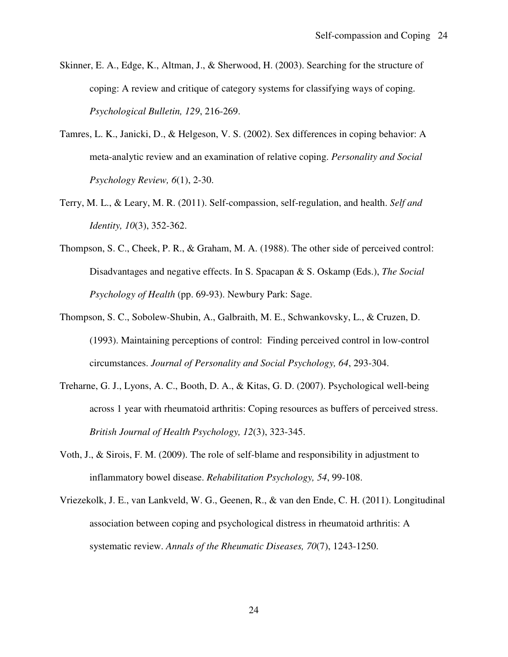- Skinner, E. A., Edge, K., Altman, J., & Sherwood, H. (2003). Searching for the structure of coping: A review and critique of category systems for classifying ways of coping. *Psychological Bulletin, 129*, 216-269.
- Tamres, L. K., Janicki, D., & Helgeson, V. S. (2002). Sex differences in coping behavior: A meta-analytic review and an examination of relative coping. *Personality and Social Psychology Review, 6*(1), 2-30.
- Terry, M. L., & Leary, M. R. (2011). Self-compassion, self-regulation, and health. *Self and Identity, 10*(3), 352-362.
- Thompson, S. C., Cheek, P. R., & Graham, M. A. (1988). The other side of perceived control: Disadvantages and negative effects. In S. Spacapan & S. Oskamp (Eds.), *The Social Psychology of Health* (pp. 69-93). Newbury Park: Sage.
- Thompson, S. C., Sobolew-Shubin, A., Galbraith, M. E., Schwankovsky, L., & Cruzen, D. (1993). Maintaining perceptions of control: Finding perceived control in low-control circumstances. *Journal of Personality and Social Psychology, 64*, 293-304.
- Treharne, G. J., Lyons, A. C., Booth, D. A., & Kitas, G. D. (2007). Psychological well-being across 1 year with rheumatoid arthritis: Coping resources as buffers of perceived stress. *British Journal of Health Psychology, 12*(3), 323-345.
- Voth, J., & Sirois, F. M. (2009). The role of self-blame and responsibility in adjustment to inflammatory bowel disease. *Rehabilitation Psychology, 54*, 99-108.
- Vriezekolk, J. E., van Lankveld, W. G., Geenen, R., & van den Ende, C. H. (2011). Longitudinal association between coping and psychological distress in rheumatoid arthritis: A systematic review. *Annals of the Rheumatic Diseases, 70*(7), 1243-1250.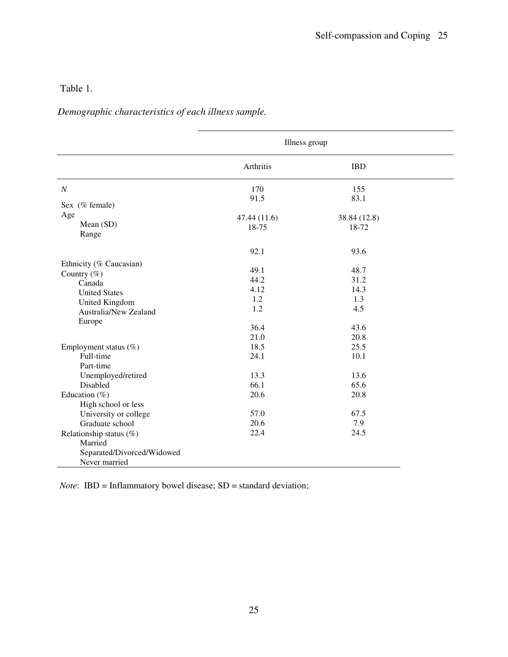# Table 1.

*Demographic characteristics of each illness sample.* 

|                            | Illness group |              |  |  |  |  |
|----------------------------|---------------|--------------|--|--|--|--|
|                            | Arthritis     | <b>IBD</b>   |  |  |  |  |
| $\boldsymbol{N}$           | 170           | 155          |  |  |  |  |
| Sex (% female)             | 91.5          | 83.1         |  |  |  |  |
| Age                        |               |              |  |  |  |  |
| Mean (SD)                  | 47.44 (11.6)  | 38.84 (12.8) |  |  |  |  |
| Range                      | 18-75         | 18-72        |  |  |  |  |
|                            |               |              |  |  |  |  |
|                            | 92.1          | 93.6         |  |  |  |  |
| Ethnicity (% Caucasian)    |               |              |  |  |  |  |
| Country $(\%)$             | 49.1          | 48.7         |  |  |  |  |
| Canada                     | 44.2          | 31.2         |  |  |  |  |
| <b>United States</b>       | 4.12          | 14.3         |  |  |  |  |
| United Kingdom             | 1.2           | 1.3          |  |  |  |  |
| Australia/New Zealand      | 1.2           | 4.5          |  |  |  |  |
| Europe                     |               |              |  |  |  |  |
|                            | 36.4          | 43.6         |  |  |  |  |
|                            | 21.0          | 20.8         |  |  |  |  |
| Employment status (%)      | 18.5          | 25.5         |  |  |  |  |
| Full-time                  | 24.1          | 10.1         |  |  |  |  |
| Part-time                  |               |              |  |  |  |  |
| Unemployed/retired         | 13.3          | 13.6         |  |  |  |  |
| Disabled                   | 66.1          | 65.6         |  |  |  |  |
| Education $(\% )$          | 20.6          | 20.8         |  |  |  |  |
| High school or less        |               |              |  |  |  |  |
| University or college      | 57.0          | 67.5         |  |  |  |  |
| Graduate school            | 20.6          | 7.9          |  |  |  |  |
| Relationship status $(\%)$ | 22.4          | 24.5         |  |  |  |  |
| Married                    |               |              |  |  |  |  |
| Separated/Divorced/Widowed |               |              |  |  |  |  |
| Never married              |               |              |  |  |  |  |

*Note*: IBD = Inflammatory bowel disease; SD = standard deviation;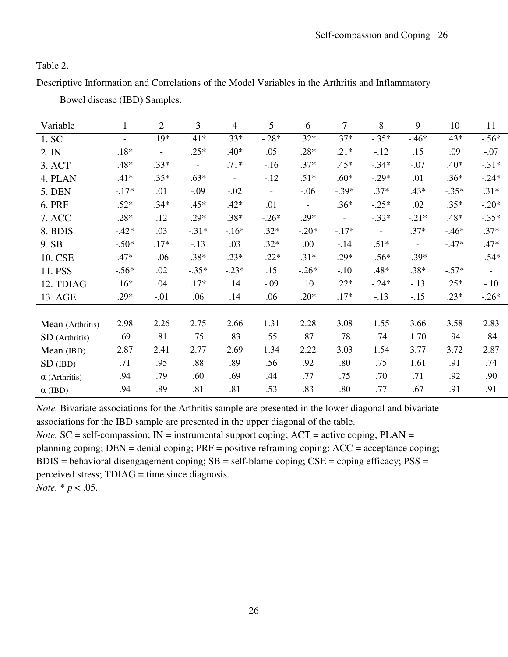Table 2.

Descriptive Information and Correlations of the Model Variables in the Arthritis and Inflammatory

| Variable             |                | $\overline{2}$           | $\overline{3}$ | $\overline{4}$ | 5                        | 6                        | 7                        | 8              | 9                        | 10                       | 11                       |
|----------------------|----------------|--------------------------|----------------|----------------|--------------------------|--------------------------|--------------------------|----------------|--------------------------|--------------------------|--------------------------|
| 1. SC                | $\blacksquare$ | .19*                     | $.41*$         | $.33*$         | $-.28*$                  | $.32*$                   | $.37*$                   | $-.35*$        | $-.46*$                  | .43*                     | $-.56*$                  |
| 2. IN                | $.18*$         | $\overline{\phantom{a}}$ | $.25*$         | .40*           | .05                      | $.28*$                   | $.21*$                   | $-.12$         | .15                      | .09                      | $-.07$                   |
| 3. ACT               | .48*           | $.33*$                   | $\blacksquare$ | $.71*$         | $-16$                    | $.37*$                   | $.45*$                   | $-.34*$        | $-.07$                   | .40*                     | $-.31*$                  |
| 4. PLAN              | $.41*$         | $.35*$                   | $.63*$         | $\blacksquare$ | $-.12$                   | $.51*$                   | $.60*$                   | $-.29*$        | .01                      | $.36*$                   | $-.24*$                  |
| 5. DEN               | $-.17*$        | .01                      | $-.09$         | $-.02$         | $\overline{\phantom{a}}$ | $-.06$                   | $-.39*$                  | $.37*$         | .43*                     | $-.35*$                  | $.31*$                   |
| 6. PRF               | $.52*$         | $.34*$                   | $.45*$         | $.42*$         | .01                      | $\overline{\phantom{a}}$ | $.36*$                   | $-.25*$        | .02                      | $.35*$                   | $-.20*$                  |
| 7. ACC               | $.28*$         | .12                      | $.29*$         | $.38*$         | $-.26*$                  | $.29*$                   | $\overline{\phantom{a}}$ | $-.32*$        | $-.21*$                  | .48*                     | $-.35*$                  |
| 8. BDIS              | $-.42*$        | .03                      | $-.31*$        | $-16*$         | $.32*$                   | $-.20*$                  | $-.17*$                  | $\blacksquare$ | $.37*$                   | $-46*$                   | $.37*$                   |
| 9. SB                | $-.50*$        | $.17*$                   | $-.13$         | .03            | $.32*$                   | .00                      | $-.14$                   | $.51*$         | $\overline{\phantom{a}}$ | $-.47*$                  | $.47*$                   |
| 10. CSE              | $.47*$         | $-.06$                   | $.38*$         | $.23*$         | $-.22*$                  | $.31*$                   | $.29*$                   | $-.56*$        | $-.39*$                  | $\overline{\phantom{a}}$ | $-.54*$                  |
| 11. PSS              | $-.56*$        | .02                      | $-.35*$        | $-.23*$        | .15                      | $-.26*$                  | $-.10$                   | $.48*$         | $.38*$                   | $-.57*$                  | $\overline{\phantom{a}}$ |
| 12. TDIAG            | $.16*$         | .04                      | $.17*$         | .14            | $-.09$                   | .10                      | $.22*$                   | $-.24*$        | $-.13$                   | $.25*$                   | $-.10$                   |
| 13. AGE              | $.29*$         | $-.01$                   | .06            | .14            | .06                      | $.20*$                   | $.17*$                   | $-13$          | $-.15$                   | $.23*$                   | $-.26*$                  |
|                      |                |                          |                |                |                          |                          |                          |                |                          |                          |                          |
| Mean (Arthritis)     | 2.98           | 2.26                     | 2.75           | 2.66           | 1.31                     | 2.28                     | 3.08                     | 1.55           | 3.66                     | 3.58                     | 2.83                     |
| SD (Arthritis)       | .69            | .81                      | .75            | .83            | .55                      | .87                      | .78                      | .74            | 1.70                     | .94                      | .84                      |
| Mean (IBD)           | 2.87           | 2.41                     | 2.77           | 2.69           | 1.34                     | 2.22                     | 3.03                     | 1.54           | 3.77                     | 3.72                     | 2.87                     |
| $SD$ (IBD)           | .71            | .95                      | .88            | .89            | .56                      | .92                      | .80                      | .75            | 1.61                     | .91                      | .74                      |
| $\alpha$ (Arthritis) | .94            | .79                      | .60            | .69            | .44                      | .77                      | .75                      | .70            | .71                      | .92                      | .90                      |
| $\alpha$ (IBD)       | .94            | .89                      | .81            | .81            | .53                      | .83                      | .80                      | .77            | .67                      | .91                      | .91                      |

Bowel disease (IBD) Samples.

*Note.* Bivariate associations for the Arthritis sample are presented in the lower diagonal and bivariate associations for the IBD sample are presented in the upper diagonal of the table.

*Note.*  $SC = self-compassion$ ;  $IN = instrumental support coping$ ;  $ACT = active coping$ ;  $PLAN =$ planning coping; DEN = denial coping; PRF = positive reframing coping; ACC = acceptance coping;  $BDIS =$  behavioral disengagement coping;  $SB =$  self-blame coping;  $CSE =$  coping efficacy;  $PSS =$ perceived stress; TDIAG = time since diagnosis. *Note.* \* *p* < .05.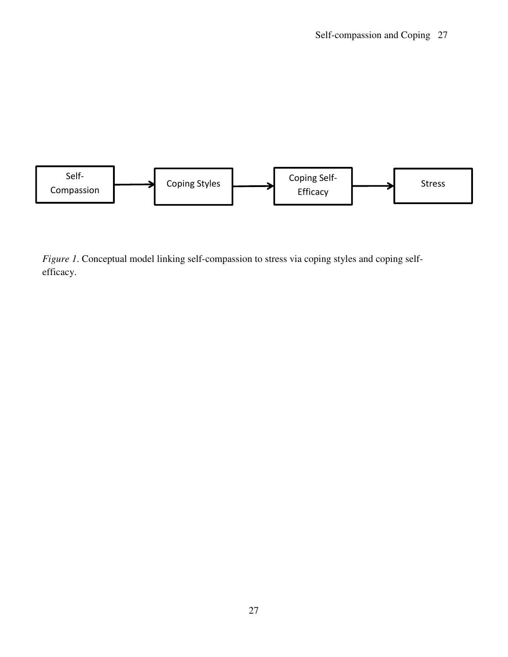

*Figure 1*. Conceptual model linking self-compassion to stress via coping styles and coping selfefficacy.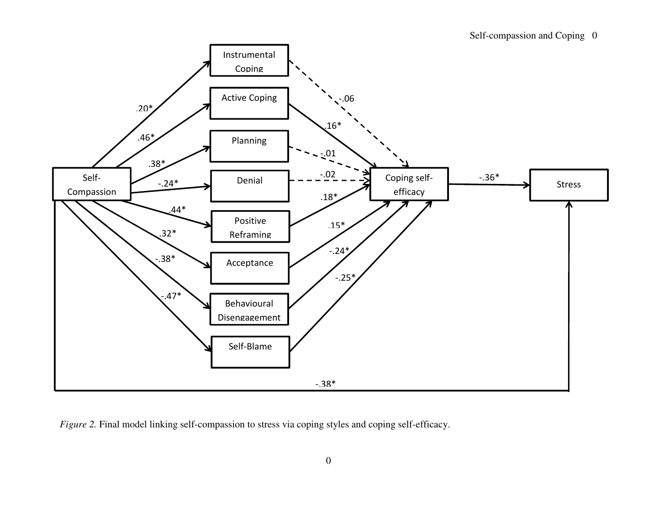

*Figure 2.* Final model linking self-compassion to stress via coping styles and coping self-efficacy.